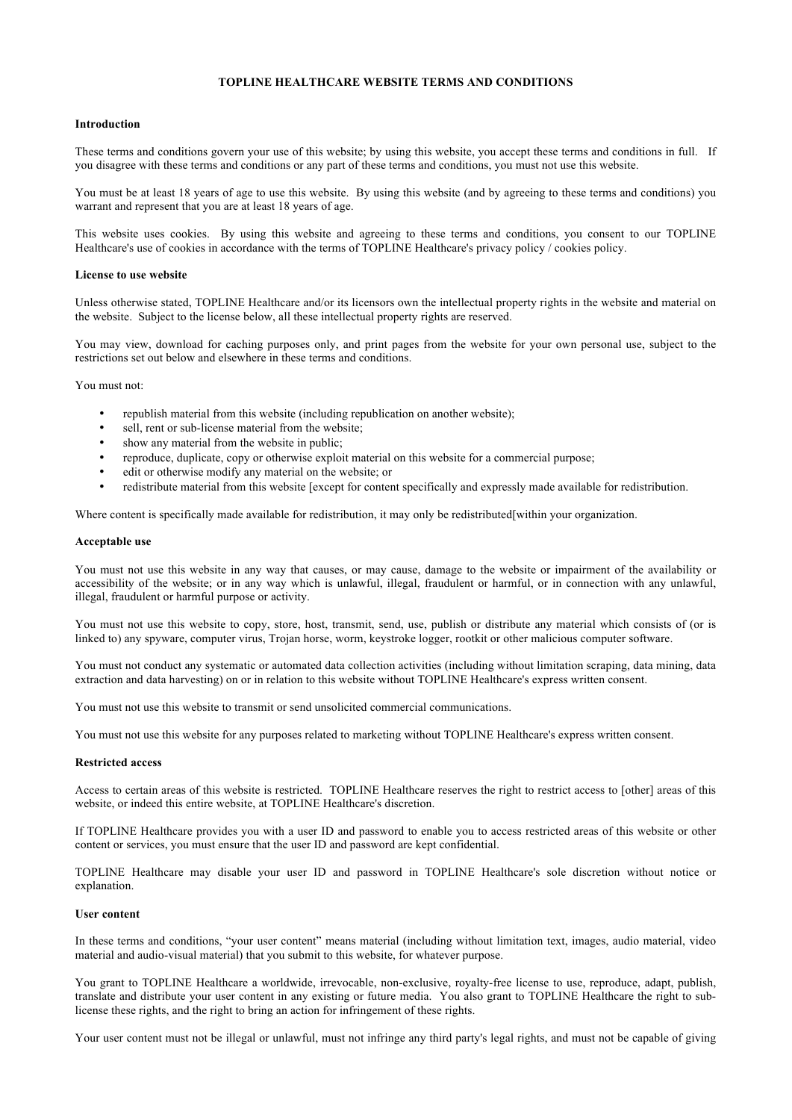# **TOPLINE HEALTHCARE WEBSITE TERMS AND CONDITIONS**

### **Introduction**

These terms and conditions govern your use of this website; by using this website, you accept these terms and conditions in full. If you disagree with these terms and conditions or any part of these terms and conditions, you must not use this website.

You must be at least 18 years of age to use this website. By using this website (and by agreeing to these terms and conditions) you warrant and represent that you are at least 18 years of age.

This website uses cookies. By using this website and agreeing to these terms and conditions, you consent to our TOPLINE Healthcare's use of cookies in accordance with the terms of TOPLINE Healthcare's privacy policy / cookies policy.

#### **License to use website**

Unless otherwise stated, TOPLINE Healthcare and/or its licensors own the intellectual property rights in the website and material on the website. Subject to the license below, all these intellectual property rights are reserved.

You may view, download for caching purposes only, and print pages from the website for your own personal use, subject to the restrictions set out below and elsewhere in these terms and conditions.

You must not:

- republish material from this website (including republication on another website);
- sell, rent or sub-license material from the website;
- show any material from the website in public;
- reproduce, duplicate, copy or otherwise exploit material on this website for a commercial purpose;
- edit or otherwise modify any material on the website; or
- redistribute material from this website [except for content specifically and expressly made available for redistribution.

Where content is specifically made available for redistribution, it may only be redistributed[within your organization.

#### **Acceptable use**

You must not use this website in any way that causes, or may cause, damage to the website or impairment of the availability or accessibility of the website; or in any way which is unlawful, illegal, fraudulent or harmful, or in connection with any unlawful, illegal, fraudulent or harmful purpose or activity.

You must not use this website to copy, store, host, transmit, send, use, publish or distribute any material which consists of (or is linked to) any spyware, computer virus, Trojan horse, worm, keystroke logger, rootkit or other malicious computer software.

You must not conduct any systematic or automated data collection activities (including without limitation scraping, data mining, data extraction and data harvesting) on or in relation to this website without TOPLINE Healthcare's express written consent.

You must not use this website to transmit or send unsolicited commercial communications.

You must not use this website for any purposes related to marketing without TOPLINE Healthcare's express written consent.

#### **Restricted access**

Access to certain areas of this website is restricted. TOPLINE Healthcare reserves the right to restrict access to [other] areas of this website, or indeed this entire website, at TOPLINE Healthcare's discretion.

If TOPLINE Healthcare provides you with a user ID and password to enable you to access restricted areas of this website or other content or services, you must ensure that the user ID and password are kept confidential.

TOPLINE Healthcare may disable your user ID and password in TOPLINE Healthcare's sole discretion without notice or explanation.

#### **User content**

In these terms and conditions, "your user content" means material (including without limitation text, images, audio material, video material and audio-visual material) that you submit to this website, for whatever purpose.

You grant to TOPLINE Healthcare a worldwide, irrevocable, non-exclusive, royalty-free license to use, reproduce, adapt, publish, translate and distribute your user content in any existing or future media. You also grant to TOPLINE Healthcare the right to sublicense these rights, and the right to bring an action for infringement of these rights.

Your user content must not be illegal or unlawful, must not infringe any third party's legal rights, and must not be capable of giving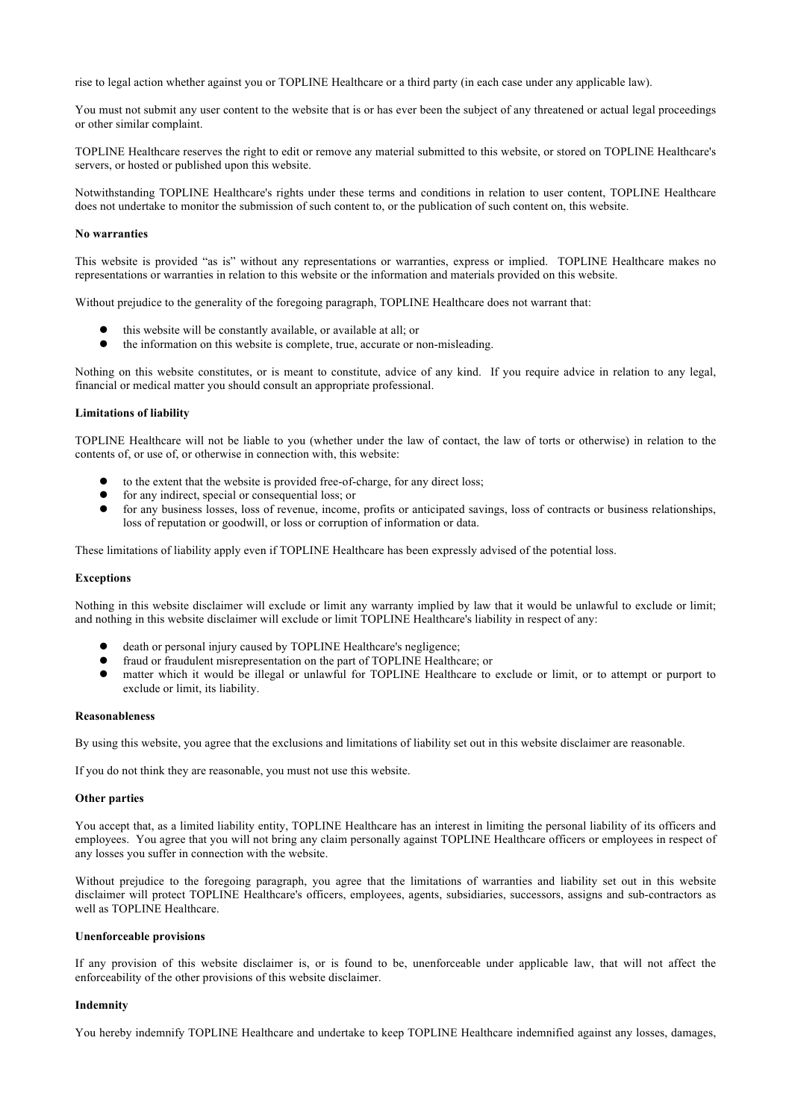rise to legal action whether against you or TOPLINE Healthcare or a third party (in each case under any applicable law).

You must not submit any user content to the website that is or has ever been the subject of any threatened or actual legal proceedings or other similar complaint.

TOPLINE Healthcare reserves the right to edit or remove any material submitted to this website, or stored on TOPLINE Healthcare's servers, or hosted or published upon this website.

Notwithstanding TOPLINE Healthcare's rights under these terms and conditions in relation to user content, TOPLINE Healthcare does not undertake to monitor the submission of such content to, or the publication of such content on, this website.

### **No warranties**

This website is provided "as is" without any representations or warranties, express or implied. TOPLINE Healthcare makes no representations or warranties in relation to this website or the information and materials provided on this website.

Without prejudice to the generality of the foregoing paragraph, TOPLINE Healthcare does not warrant that:

- this website will be constantly available, or available at all; or
- $\bullet$  the information on this website is complete, true, accurate or non-misleading.

Nothing on this website constitutes, or is meant to constitute, advice of any kind. If you require advice in relation to any legal, financial or medical matter you should consult an appropriate professional.

## **Limitations of liability**

TOPLINE Healthcare will not be liable to you (whether under the law of contact, the law of torts or otherwise) in relation to the contents of, or use of, or otherwise in connection with, this website:

- to the extent that the website is provided free-of-charge, for any direct loss;
- $\bullet$  for any indirect, special or consequential loss; or for any business losses loss of revenue income
- for any business losses, loss of revenue, income, profits or anticipated savings, loss of contracts or business relationships, loss of reputation or goodwill, or loss or corruption of information or data.

These limitations of liability apply even if TOPLINE Healthcare has been expressly advised of the potential loss.

## **Exceptions**

Nothing in this website disclaimer will exclude or limit any warranty implied by law that it would be unlawful to exclude or limit; and nothing in this website disclaimer will exclude or limit TOPLINE Healthcare's liability in respect of any:

- death or personal injury caused by TOPLINE Healthcare's negligence;
- **•** fraud or fraudulent misrepresentation on the part of TOPLINE Healthcare; or
- l matter which it would be illegal or unlawful for TOPLINE Healthcare to exclude or limit, or to attempt or purport to exclude or limit, its liability.

### **Reasonableness**

By using this website, you agree that the exclusions and limitations of liability set out in this website disclaimer are reasonable.

If you do not think they are reasonable, you must not use this website.

## **Other parties**

You accept that, as a limited liability entity, TOPLINE Healthcare has an interest in limiting the personal liability of its officers and employees. You agree that you will not bring any claim personally against TOPLINE Healthcare officers or employees in respect of any losses you suffer in connection with the website.

Without prejudice to the foregoing paragraph, you agree that the limitations of warranties and liability set out in this website disclaimer will protect TOPLINE Healthcare's officers, employees, agents, subsidiaries, successors, assigns and sub-contractors as well as TOPLINE Healthcare.

# **Unenforceable provisions**

If any provision of this website disclaimer is, or is found to be, unenforceable under applicable law, that will not affect the enforceability of the other provisions of this website disclaimer.

### **Indemnity**

You hereby indemnify TOPLINE Healthcare and undertake to keep TOPLINE Healthcare indemnified against any losses, damages,